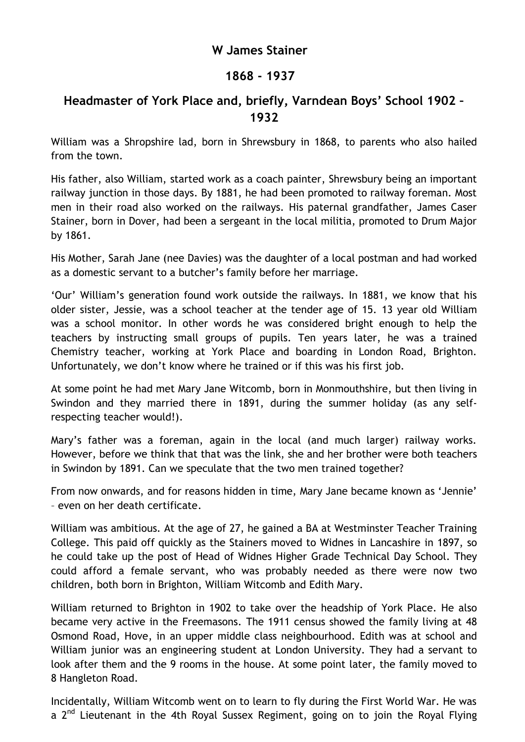## **W James Stainer**

## **1868 - 1937**

## **Headmaster of York Place and, briefly, Varndean Boys' School 1902 – 1932**

William was a Shropshire lad, born in Shrewsbury in 1868, to parents who also hailed from the town.

His father, also William, started work as a coach painter, Shrewsbury being an important railway junction in those days. By 1881, he had been promoted to railway foreman. Most men in their road also worked on the railways. His paternal grandfather, James Caser Stainer, born in Dover, had been a sergeant in the local militia, promoted to Drum Major by 1861.

His Mother, Sarah Jane (nee Davies) was the daughter of a local postman and had worked as a domestic servant to a butcher's family before her marriage.

'Our' William's generation found work outside the railways. In 1881, we know that his older sister, Jessie, was a school teacher at the tender age of 15. 13 year old William was a school monitor. In other words he was considered bright enough to help the teachers by instructing small groups of pupils. Ten years later, he was a trained Chemistry teacher, working at York Place and boarding in London Road, Brighton. Unfortunately, we don't know where he trained or if this was his first job.

At some point he had met Mary Jane Witcomb, born in Monmouthshire, but then living in Swindon and they married there in 1891, during the summer holiday (as any selfrespecting teacher would!).

Mary's father was a foreman, again in the local (and much larger) railway works. However, before we think that that was the link, she and her brother were both teachers in Swindon by 1891. Can we speculate that the two men trained together?

From now onwards, and for reasons hidden in time, Mary Jane became known as 'Jennie' – even on her death certificate.

William was ambitious. At the age of 27, he gained a BA at Westminster Teacher Training College. This paid off quickly as the Stainers moved to Widnes in Lancashire in 1897, so he could take up the post of Head of Widnes Higher Grade Technical Day School. They could afford a female servant, who was probably needed as there were now two children, both born in Brighton, William Witcomb and Edith Mary.

William returned to Brighton in 1902 to take over the headship of York Place. He also became very active in the Freemasons. The 1911 census showed the family living at 48 Osmond Road, Hove, in an upper middle class neighbourhood. Edith was at school and William junior was an engineering student at London University. They had a servant to look after them and the 9 rooms in the house. At some point later, the family moved to 8 Hangleton Road.

Incidentally, William Witcomb went on to learn to fly during the First World War. He was a 2<sup>nd</sup> Lieutenant in the 4th Royal Sussex Regiment, going on to join the Royal Flying